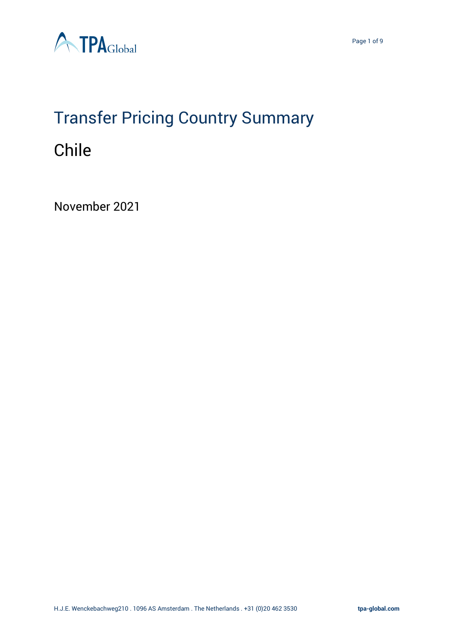

# Transfer Pricing Country Summary Chile

November 2021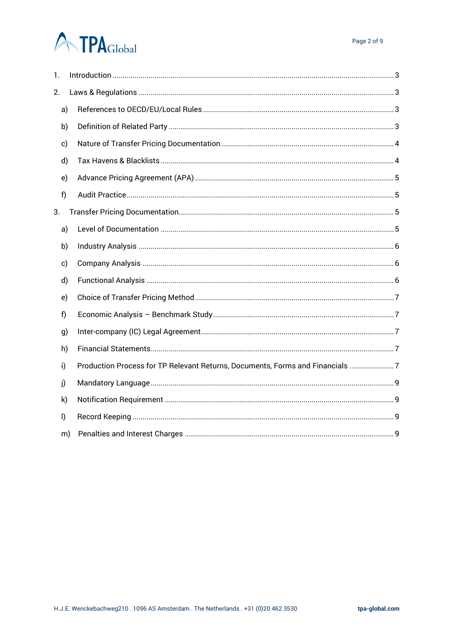# **ATPA**Global

| 1.           |    |                                                                               |  |  |  |  |  |  |
|--------------|----|-------------------------------------------------------------------------------|--|--|--|--|--|--|
| 2.           |    |                                                                               |  |  |  |  |  |  |
| a)           |    |                                                                               |  |  |  |  |  |  |
| b)           |    |                                                                               |  |  |  |  |  |  |
| c)           |    |                                                                               |  |  |  |  |  |  |
| d)           |    |                                                                               |  |  |  |  |  |  |
| e)           |    |                                                                               |  |  |  |  |  |  |
| f)           |    |                                                                               |  |  |  |  |  |  |
| 3.           |    |                                                                               |  |  |  |  |  |  |
| a)           |    |                                                                               |  |  |  |  |  |  |
| b)           |    |                                                                               |  |  |  |  |  |  |
| c)           |    |                                                                               |  |  |  |  |  |  |
| d)           |    |                                                                               |  |  |  |  |  |  |
| e)           |    |                                                                               |  |  |  |  |  |  |
| f)           |    |                                                                               |  |  |  |  |  |  |
| g)           |    |                                                                               |  |  |  |  |  |  |
| h)           |    |                                                                               |  |  |  |  |  |  |
| i)           |    | Production Process for TP Relevant Returns, Documents, Forms and Financials 7 |  |  |  |  |  |  |
| j)           |    |                                                                               |  |  |  |  |  |  |
| k)           |    |                                                                               |  |  |  |  |  |  |
| $\mathsf{I}$ |    |                                                                               |  |  |  |  |  |  |
|              | m) |                                                                               |  |  |  |  |  |  |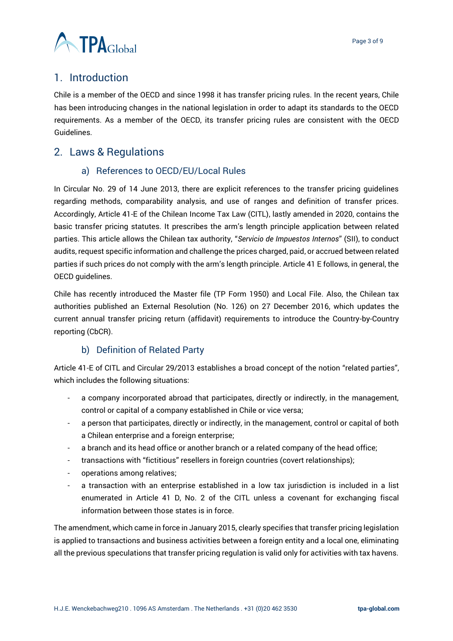

# <span id="page-2-0"></span>1. Introduction

Chile is a member of the OECD and since 1998 it has transfer pricing rules. In the recent years, Chile has been introducing changes in the national legislation in order to adapt its standards to the OECD requirements. As a member of the OECD, its transfer pricing rules are consistent with the OECD Guidelines.

# <span id="page-2-2"></span><span id="page-2-1"></span>2. Laws & Regulations

## a) References to OECD/EU/Local Rules

In Circular No. 29 of 14 June 2013, there are explicit references to the transfer pricing guidelines regarding methods, comparability analysis, and use of ranges and definition of transfer prices. Accordingly, Article 41-E of the Chilean Income Tax Law (CITL), lastly amended in 2020, contains the basic transfer pricing statutes. It prescribes the arm's length principle application between related parties. This article allows the Chilean tax authority, "*Servicio de Impuestos Internos*" (SII), to conduct audits, request specific information and challenge the prices charged, paid, or accrued between related parties if such prices do not comply with the arm's length principle. Article 41 E follows, in general, the OECD guidelines.

Chile has recently introduced the Master file (TP Form 1950) and Local File. Also, the Chilean tax authorities published an External Resolution (No. 126) on 27 December 2016, which updates the current annual transfer pricing return (affidavit) requirements to introduce the Country-by-Country reporting (CbCR).

## b) Definition of Related Party

<span id="page-2-3"></span>Article 41-E of CITL and Circular 29/2013 establishes a broad concept of the notion "related parties", which includes the following situations:

- a company incorporated abroad that participates, directly or indirectly, in the management, control or capital of a company established in Chile or vice versa;
- a person that participates, directly or indirectly, in the management, control or capital of both a Chilean enterprise and a foreign enterprise;
- a branch and its head office or another branch or a related company of the head office;
- transactions with "fictitious" resellers in foreign countries (covert relationships);
- operations among relatives;
- a transaction with an enterprise established in a low tax jurisdiction is included in a list enumerated in Article 41 D, No. 2 of the CITL unless a covenant for exchanging fiscal information between those states is in force.

The amendment, which came in force in January 2015, clearly specifies that transfer pricing legislation is applied to transactions and business activities between a foreign entity and a local one, eliminating all the previous speculations that transfer pricing regulation is valid only for activities with tax havens.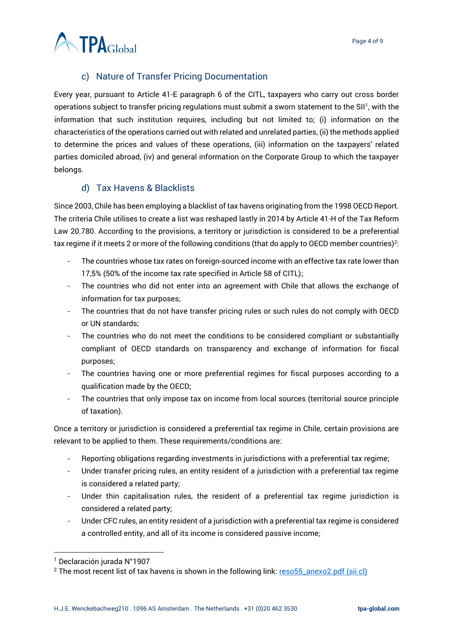

# c) Nature of Transfer Pricing Documentation

<span id="page-3-0"></span>Every year, pursuant to Article 41-E paragraph 6 of the CITL, taxpayers who carry out cross border operations subject to transfer pricing regulations must submit a sworn statement to the SII<sup>1</sup>, with the information that such institution requires, including but not limited to; (i) information on the characteristics of the operations carried out with related and unrelated parties, (ii) the methods applied to determine the prices and values of these operations, (iii) information on the taxpayers' related parties domiciled abroad, (iv) and general information on the Corporate Group to which the taxpayer belongs.

### d) Tax Havens & Blacklists

<span id="page-3-1"></span>Since 2003, Chile has been employing a blacklist of tax havens originating from the 1998 OECD Report. The criteria Chile utilises to create a list was reshaped lastly in 2014 by Article 41-H of the Tax Reform Law 20.780. According to the provisions, a territory or jurisdiction is considered to be a preferential tax regime if it meets 2 or more of the following conditions (that do apply to OECD member countries)<sup>2</sup>:

- The countries whose tax rates on foreign-sourced income with an effective tax rate lower than 17,5% (50% of the income tax rate specified in Article 58 of CITL);
- The countries who did not enter into an agreement with Chile that allows the exchange of information for tax purposes;
- The countries that do not have transfer pricing rules or such rules do not comply with OECD or UN standards;
- The countries who do not meet the conditions to be considered compliant or substantially compliant of OECD standards on transparency and exchange of information for fiscal purposes;
- The countries having one or more preferential regimes for fiscal purposes according to a qualification made by the OECD;
- The countries that only impose tax on income from local sources (territorial source principle of taxation).

Once a territory or jurisdiction is considered a preferential tax regime in Chile, certain provisions are relevant to be applied to them. These requirements/conditions are:

- Reporting obligations regarding investments in jurisdictions with a preferential tax regime;
- Under transfer pricing rules, an entity resident of a jurisdiction with a preferential tax regime is considered a related party;
- Under thin capitalisation rules, the resident of a preferential tax regime jurisdiction is considered a related party;
- Under CFC rules, an entity resident of a jurisdiction with a preferential tax regime is considered a controlled entity, and all of its income is considered passive income;

<sup>1</sup> Declaración jurada N°1907

<sup>&</sup>lt;sup>2</sup> The most recent list of tax havens is shown in the following link: [reso55\\_anexo2.pdf \(sii.cl\)](https://www.sii.cl/normativa_legislacion/resoluciones/2018/reso55_anexo2.pdf)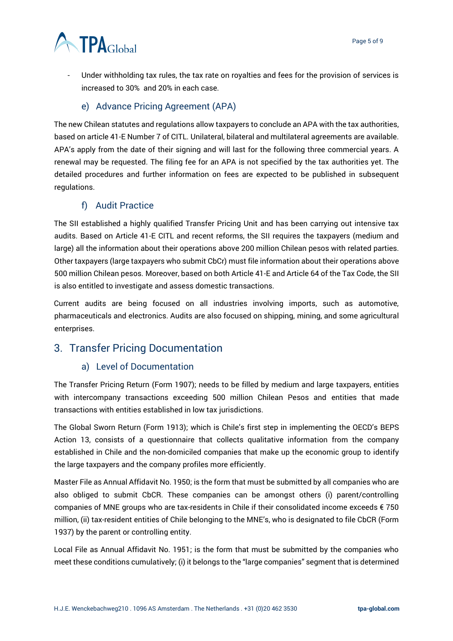# **ATPA**Global

Under withholding tax rules, the tax rate on royalties and fees for the provision of services is increased to 30% and 20% in each case.

## e) Advance Pricing Agreement (APA)

<span id="page-4-0"></span>The new Chilean statutes and regulations allow taxpayers to conclude an APA with the tax authorities, based on article 41-E Number 7 of CITL. Unilateral, bilateral and multilateral agreements are available. APA's apply from the date of their signing and will last for the following three commercial years. A renewal may be requested. The filing fee for an APA is not specified by the tax authorities yet. The detailed procedures and further information on fees are expected to be published in subsequent regulations.

## f) Audit Practice

<span id="page-4-1"></span>The SII established a highly qualified Transfer Pricing Unit and has been carrying out intensive tax audits. Based on Article 41-E CITL and recent reforms, the SII requires the taxpayers (medium and large) all the information about their operations above 200 million Chilean pesos with related parties. Other taxpayers (large taxpayers who submit CbCr) must file information about their operations above 500 million Chilean pesos. Moreover, based on both Article 41-E and Article 64 of the Tax Code, the SII is also entitled to investigate and assess domestic transactions.

Current audits are being focused on all industries involving imports, such as automotive, pharmaceuticals and electronics. Audits are also focused on shipping, mining, and some agricultural enterprises.

# <span id="page-4-3"></span><span id="page-4-2"></span>3. Transfer Pricing Documentation

## a) Level of Documentation

The Transfer Pricing Return (Form 1907); needs to be filled by medium and large taxpayers, entities with intercompany transactions exceeding 500 million Chilean Pesos and entities that made transactions with entities established in low tax jurisdictions.

The Global Sworn Return (Form 1913); which is Chile's first step in implementing the OECD's BEPS Action 13, consists of a questionnaire that collects qualitative information from the company established in Chile and the non-domiciled companies that make up the economic group to identify the large taxpayers and the company profiles more efficiently.

Master File as Annual Affidavit No. 1950; is the form that must be submitted by all companies who are also obliged to submit CbCR. These companies can be amongst others (i) parent/controlling companies of MNE groups who are tax-residents in Chile if their consolidated income exceeds € 750 million, (ii) tax-resident entities of Chile belonging to the MNE's, who is designated to file CbCR (Form 1937) by the parent or controlling entity.

Local File as Annual Affidavit No. 1951; is the form that must be submitted by the companies who meet these conditions cumulatively; (i) it belongs to the "large companies" segment that is determined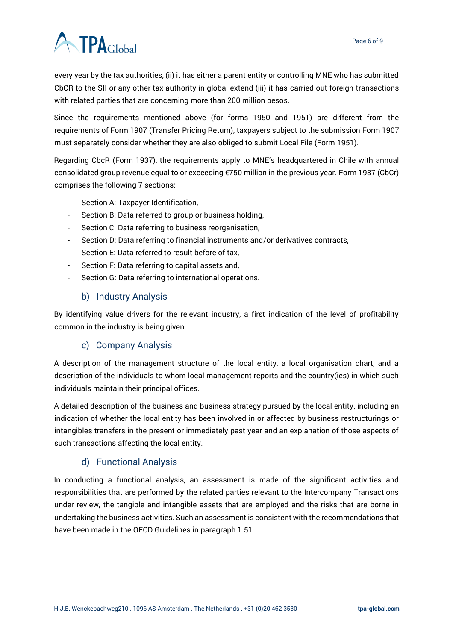

every year by the tax authorities, (ii) it has either a parent entity or controlling MNE who has submitted CbCR to the SII or any other tax authority in global extend (iii) it has carried out foreign transactions with related parties that are concerning more than 200 million pesos.

Since the requirements mentioned above (for forms 1950 and 1951) are different from the requirements of Form 1907 (Transfer Pricing Return), taxpayers subject to the submission Form 1907 must separately consider whether they are also obliged to submit Local File (Form 1951).

Regarding CbcR (Form 1937), the requirements apply to MNE's headquartered in Chile with annual consolidated group revenue equal to or exceeding €750 million in the previous year. Form 1937 (CbCr) comprises the following 7 sections:

- Section A: Taxpayer Identification,
- Section B: Data referred to group or business holding,
- Section C: Data referring to business reorganisation,
- Section D: Data referring to financial instruments and/or derivatives contracts,
- Section E: Data referred to result before of tax,
- Section F: Data referring to capital assets and,
- Section G: Data referring to international operations.

#### b) Industry Analysis

<span id="page-5-0"></span>By identifying value drivers for the relevant industry, a first indication of the level of profitability common in the industry is being given.

## c) Company Analysis

<span id="page-5-1"></span>A description of the management structure of the local entity, a local organisation chart, and a description of the individuals to whom local management reports and the country(ies) in which such individuals maintain their principal offices.

A detailed description of the business and business strategy pursued by the local entity, including an indication of whether the local entity has been involved in or affected by business restructurings or intangibles transfers in the present or immediately past year and an explanation of those aspects of such transactions affecting the local entity.

## d) Functional Analysis

<span id="page-5-2"></span>In conducting a functional analysis, an assessment is made of the significant activities and responsibilities that are performed by the related parties relevant to the Intercompany Transactions under review, the tangible and intangible assets that are employed and the risks that are borne in undertaking the business activities. Such an assessment is consistent with the recommendations that have been made in the OECD Guidelines in paragraph 1.51.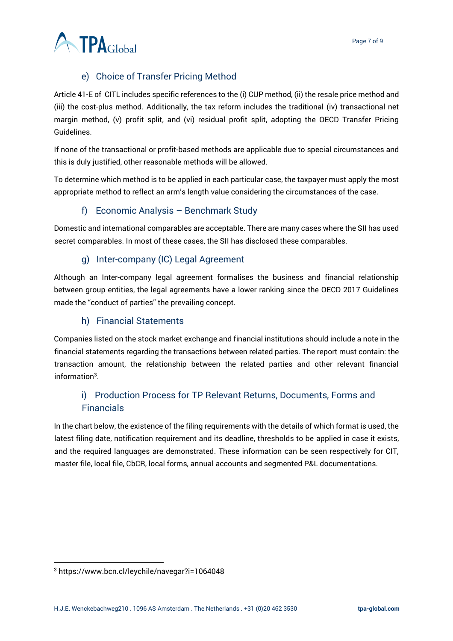

# e) Choice of Transfer Pricing Method

<span id="page-6-0"></span>Article 41-E of CITL includes specific references to the (i) CUP method, (ii) the resale price method and (iii) the cost-plus method. Additionally, the tax reform includes the traditional (iv) transactional net margin method, (v) profit split, and (vi) residual profit split, adopting the OECD Transfer Pricing Guidelines.

If none of the transactional or profit-based methods are applicable due to special circumstances and this is duly justified, other reasonable methods will be allowed.

To determine which method is to be applied in each particular case, the taxpayer must apply the most appropriate method to reflect an arm's length value considering the circumstances of the case.

# f) Economic Analysis – Benchmark Study

<span id="page-6-1"></span>Domestic and international comparables are acceptable. There are many cases where the SII has used secret comparables. In most of these cases, the SII has disclosed these comparables.

# g) Inter-company (IC) Legal Agreement

<span id="page-6-2"></span>Although an Inter-company legal agreement formalises the business and financial relationship between group entities, the legal agreements have a lower ranking since the OECD 2017 Guidelines made the "conduct of parties" the prevailing concept.

## h) Financial Statements

<span id="page-6-3"></span>Companies listed on the stock market exchange and financial institutions should include a note in the financial statements regarding the transactions between related parties. The report must contain: the transaction amount, the relationship between the related parties and other relevant financial information $3$ .

# <span id="page-6-4"></span>i) Production Process for TP Relevant Returns, Documents, Forms and Financials

In the chart below, the existence of the filing requirements with the details of which format is used, the latest filing date, notification requirement and its deadline, thresholds to be applied in case it exists, and the required languages are demonstrated. These information can be seen respectively for CIT, master file, local file, CbCR, local forms, annual accounts and segmented P&L documentations.

<sup>3</sup> https://www.bcn.cl/leychile/navegar?i=1064048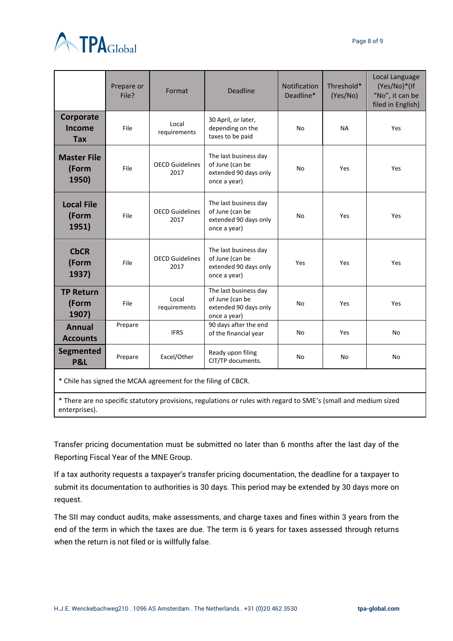

|                                                               | Prepare or<br>File? | Format                         | <b>Deadline</b>                                                                   | <b>Notification</b><br>Deadline* | Threshold*<br>(Yes/No) | Local Language<br>(Yes/No)*(If<br>"No", it can be<br>filed in English) |  |  |  |
|---------------------------------------------------------------|---------------------|--------------------------------|-----------------------------------------------------------------------------------|----------------------------------|------------------------|------------------------------------------------------------------------|--|--|--|
| Corporate<br>Income<br><b>Tax</b>                             | File                | Local<br>requirements          | 30 April, or later,<br>depending on the<br>taxes to be paid                       | No                               | <b>NA</b>              | Yes                                                                    |  |  |  |
| <b>Master File</b><br>(Form<br>1950)                          | File                | <b>OECD Guidelines</b><br>2017 | The last business day<br>of June (can be<br>extended 90 days only<br>once a year) | <b>No</b>                        | Yes                    | Yes                                                                    |  |  |  |
| <b>Local File</b><br>(Form<br>1951)                           | File                | <b>OECD Guidelines</b><br>2017 | The last business day<br>of June (can be<br>extended 90 days only<br>once a year) | N <sub>o</sub>                   | Yes                    | Yes                                                                    |  |  |  |
| <b>CbCR</b><br>(Form<br>1937)                                 | File                | <b>OECD Guidelines</b><br>2017 | The last business day<br>of June (can be<br>extended 90 days only<br>once a year) | Yes                              | Yes                    | Yes                                                                    |  |  |  |
| <b>TP Return</b><br>(Form<br>1907)                            | File                | Local<br>requirements          | The last business day<br>of June (can be<br>extended 90 days only<br>once a year) | <b>No</b>                        | Yes                    | Yes                                                                    |  |  |  |
| <b>Annual</b><br><b>Accounts</b>                              | Prepare             | <b>IFRS</b>                    | 90 days after the end<br>of the financial year                                    | No                               | Yes                    | <b>No</b>                                                              |  |  |  |
| <b>Segmented</b><br>P&L                                       | Prepare             | Excel/Other                    | Ready upon filing<br>CIT/TP documents.                                            | No                               | No                     | No                                                                     |  |  |  |
| * Chile has signed the MCAA agreement for the filing of CBCR. |                     |                                |                                                                                   |                                  |                        |                                                                        |  |  |  |

\* There are no specific statutory provisions, regulations or rules with regard to SME's (small and medium sized enterprises).

Transfer pricing documentation must be submitted no later than 6 months after the last day of the Reporting Fiscal Year of the MNE Group.

If a tax authority requests a taxpayer's transfer pricing documentation, the deadline for a taxpayer to submit its documentation to authorities is 30 days. This period may be extended by 30 days more on request.

The SII may conduct audits, make assessments, and charge taxes and fines within 3 years from the end of the term in which the taxes are due. The term is 6 years for taxes assessed through returns when the return is not filed or is willfully false.